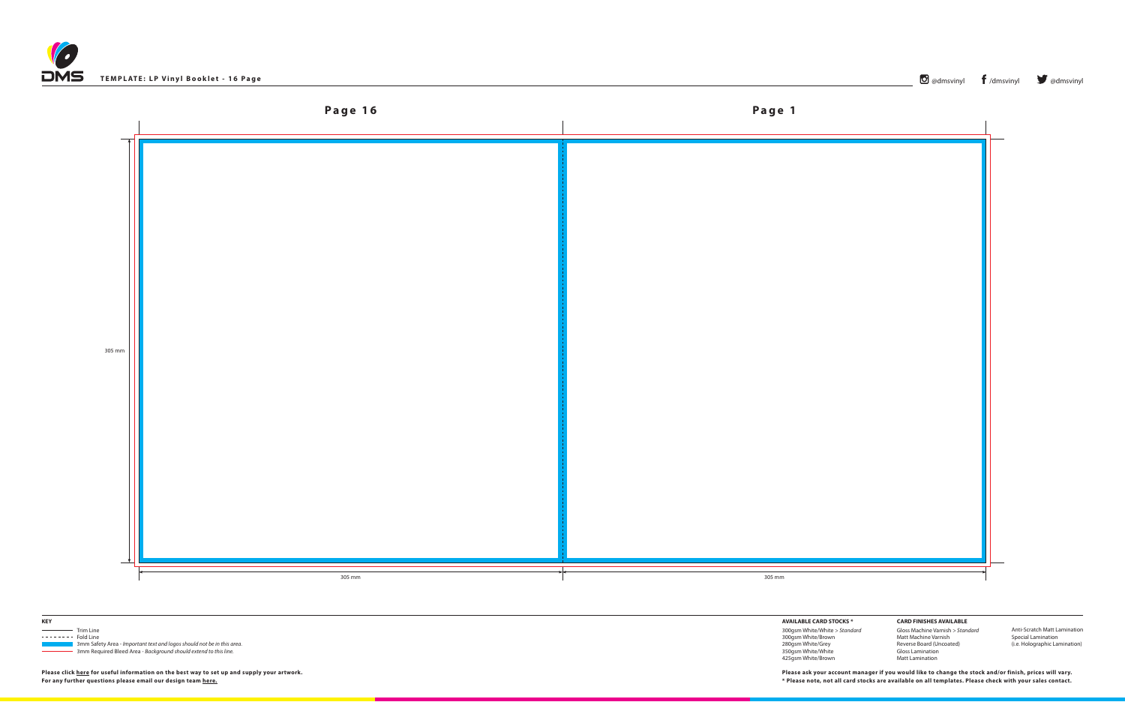





 3mm Safety Area - *Important text and logos should not be in this area*. 3mm Required Bleed Area - *Background should extend to this line.*

**AVAILABLE CARD STOCKS \***

300gsm White/White *> Standard* 300gsm White/Brown 280gsm White/Grey 350gsm White/White 425gsm White/Brown

**CARD FINISHES AVAILABLE** Gloss Machine Varnish *> Standard* Matt Machine Varnish Reverse Board (Uncoated) Gloss Lamination Matt Lamination

Anti-Scratch Matt Lamination Special Lamination (i.e. Holographic Lamination)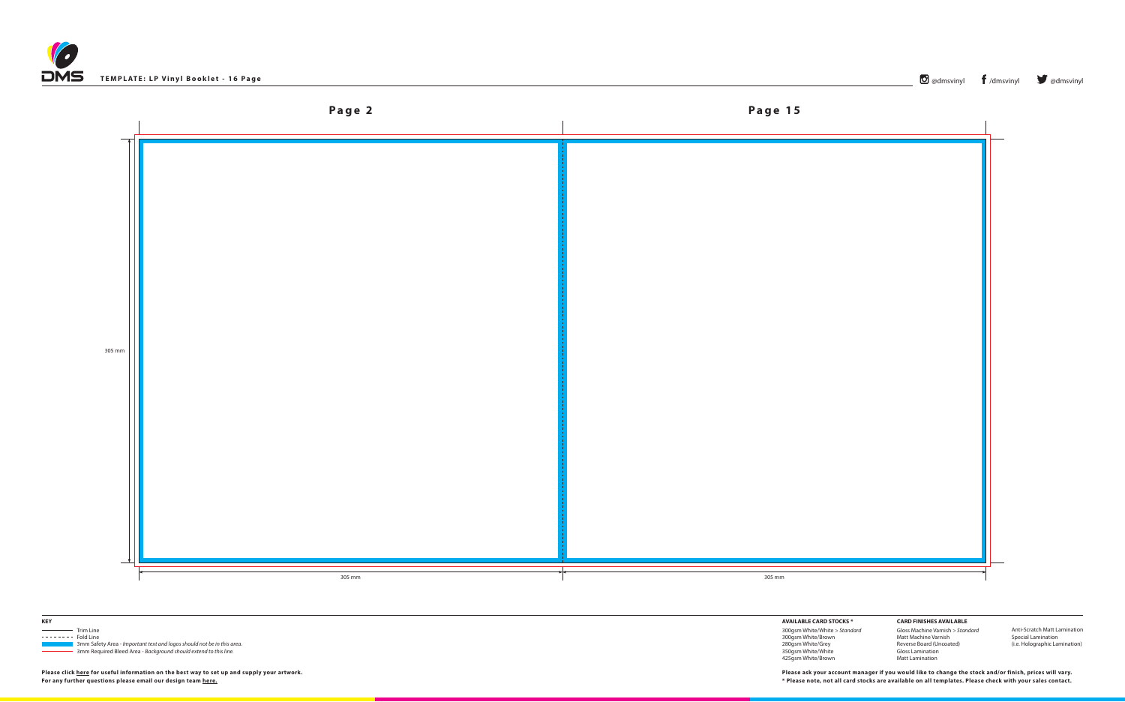





 3mm Safety Area - *Important text and logos should not be in this area*. 3mm Required Bleed Area - *Background should extend to this line.*

**AVAILABLE CARD STOCKS \***

300gsm White/White *> Standard* 300gsm White/Brown 280gsm White/Grey 350gsm White/White 425gsm White/Brown

**CARD FINISHES AVAILABLE** Gloss Machine Varnish *> Standard* Matt Machine Varnish Reverse Board (Uncoated) Gloss Lamination Matt Lamination

Anti-Scratch Matt Lamination Special Lamination (i.e. Holographic Lamination)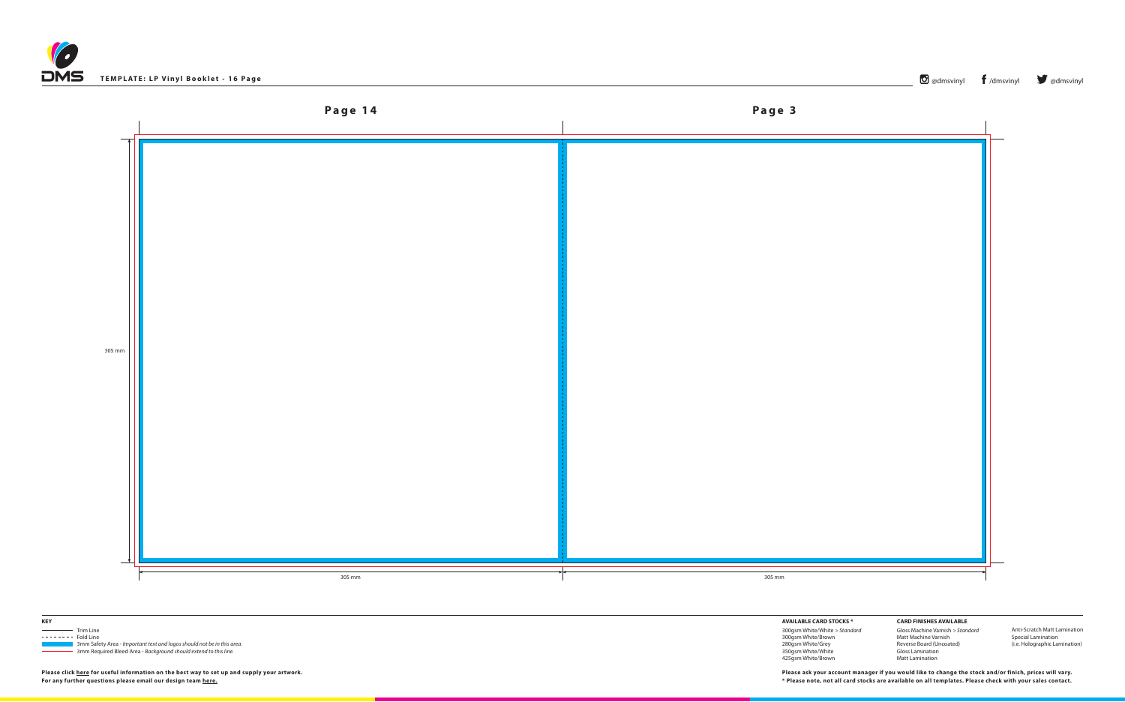





 3mm Safety Area - *Important text and logos should not be in this area*. 3mm Required Bleed Area - *Background should extend to this line.*

**AVAILABLE CARD STOCKS \***

300gsm White/White *> Standard* 300gsm White/Brown 280gsm White/Grey 350gsm White/White 425gsm White/Brown

**CARD FINISHES AVAILABLE** Gloss Machine Varnish *> Standard* Matt Machine Varnish Reverse Board (Uncoated) Gloss Lamination Matt Lamination

Anti-Scratch Matt Lamination Special Lamination (i.e. Holographic Lamination)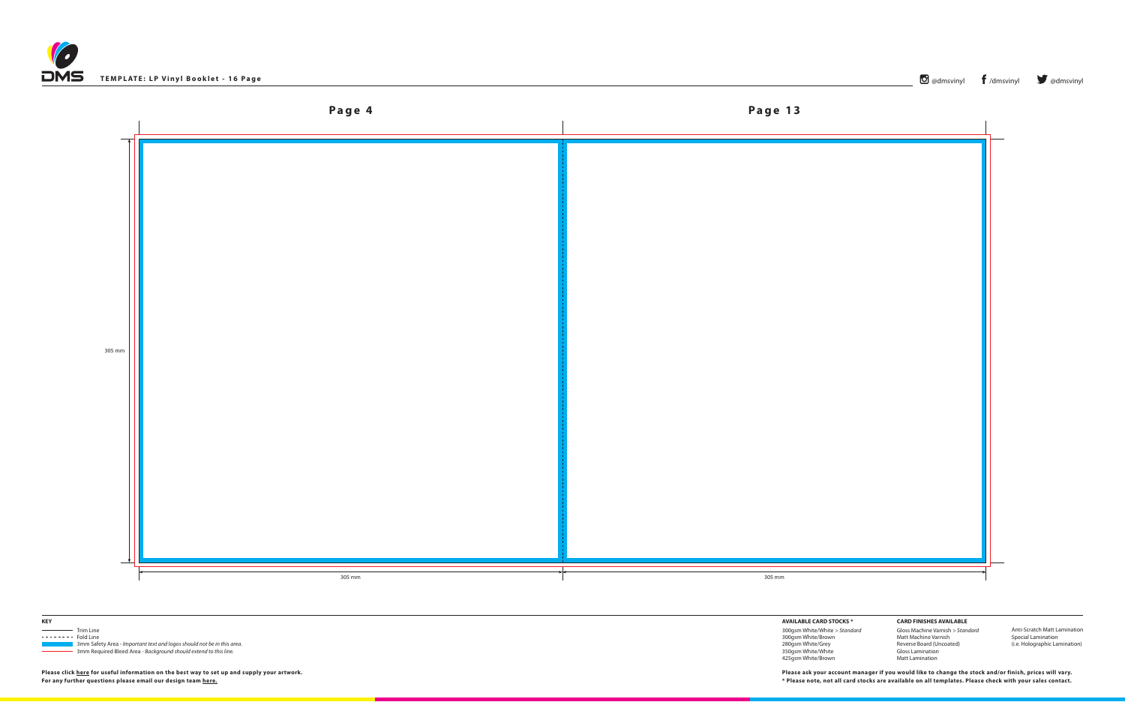



**KEY**

Trim Line  $------$  Fold Line

 3mm Safety Area - *Important text and logos should not be in this area*. 3mm Required Bleed Area - *Background should extend to this line.*

**AVAILABLE CARD STOCKS \***

300gsm White/White *> Standard* 300gsm White/Brown 280gsm White/Grey 350gsm White/White 425gsm White/Brown

**CARD FINISHES AVAILABLE** Gloss Machine Varnish *> Standard* Matt Machine Varnish Reverse Board (Uncoated) Gloss Lamination Matt Lamination

Anti-Scratch Matt Lamination Special Lamination (i.e. Holographic Lamination)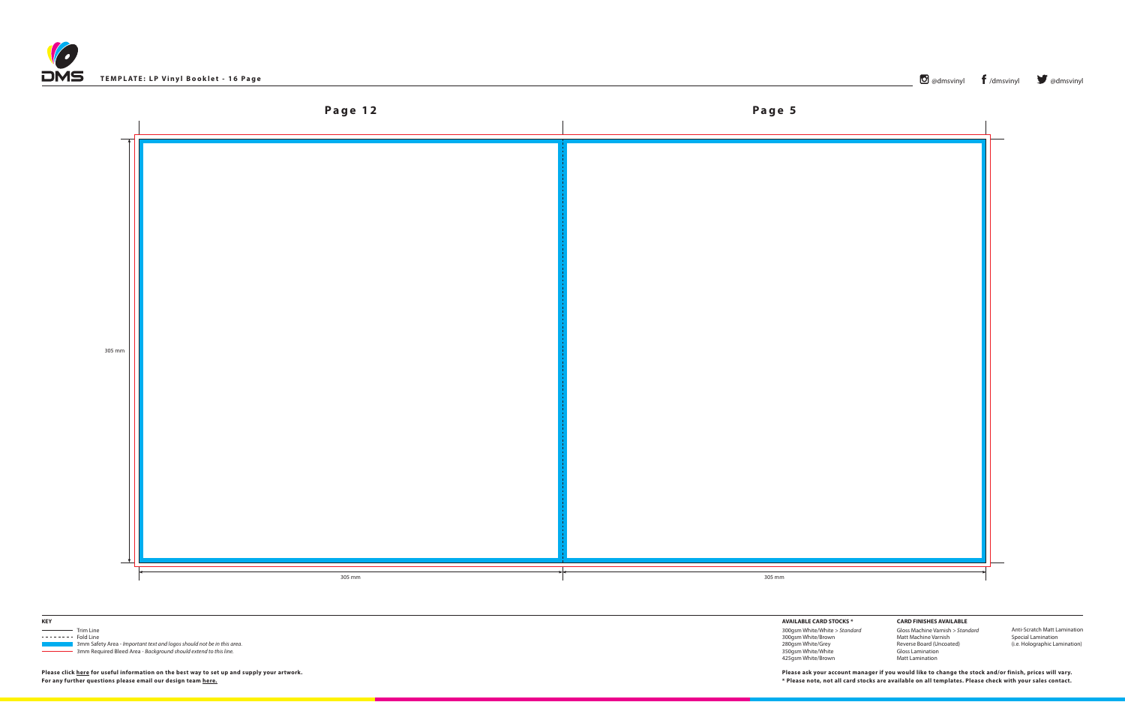





 3mm Safety Area - *Important text and logos should not be in this area*. 3mm Required Bleed Area - *Background should extend to this line.*

**AVAILABLE CARD STOCKS \***

300gsm White/White *> Standard* 300gsm White/Brown 280gsm White/Grey 350gsm White/White 425gsm White/Brown

**CARD FINISHES AVAILABLE** Gloss Machine Varnish *> Standard* Matt Machine Varnish Reverse Board (Uncoated) Gloss Lamination Matt Lamination

Anti-Scratch Matt Lamination Special Lamination (i.e. Holographic Lamination)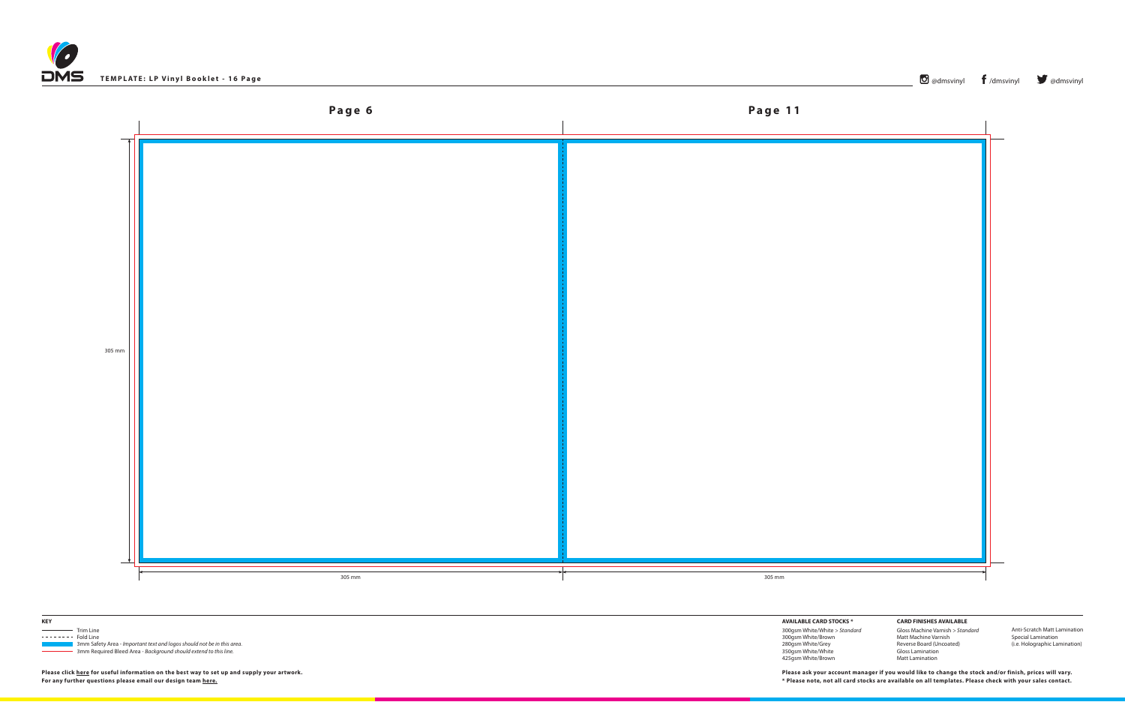





 3mm Safety Area - *Important text and logos should not be in this area*. 3mm Required Bleed Area - *Background should extend to this line.*

**AVAILABLE CARD STOCKS \***

300gsm White/White *> Standard* 300gsm White/Brown 280gsm White/Grey 350gsm White/White 425gsm White/Brown

**CARD FINISHES AVAILABLE** Gloss Machine Varnish *> Standard* Matt Machine Varnish Reverse Board (Uncoated) Gloss Lamination Matt Lamination

Anti-Scratch Matt Lamination Special Lamination (i.e. Holographic Lamination)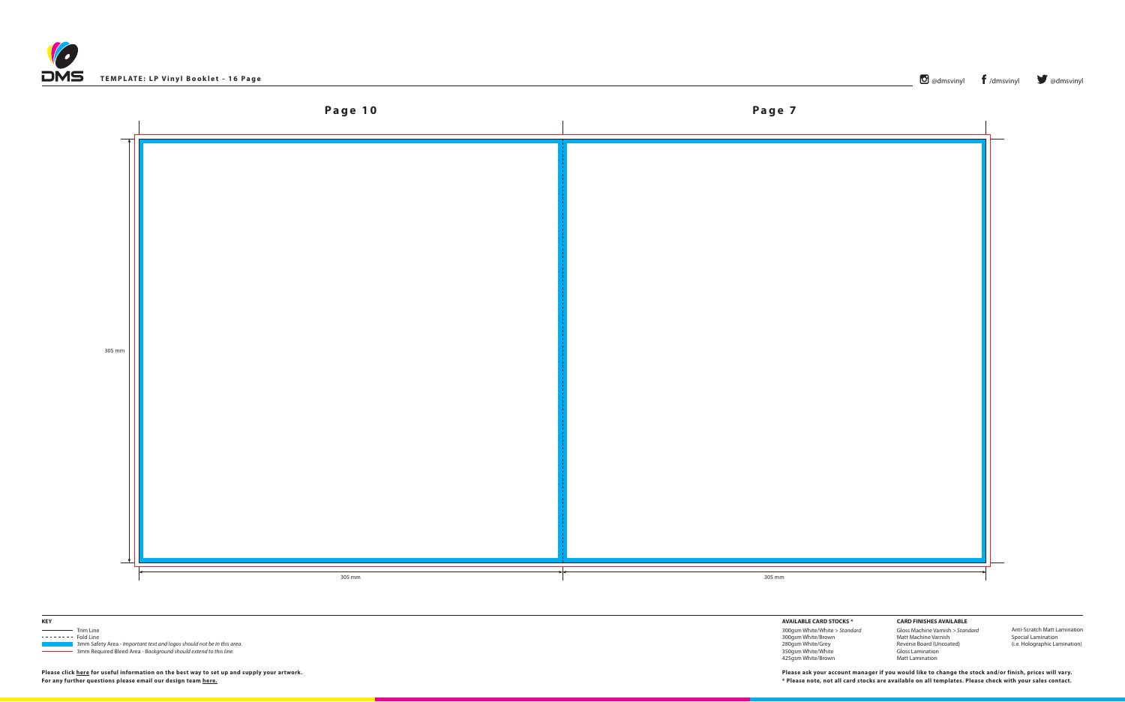





 3mm Safety Area - *Important text and logos should not be in this area*. 3mm Required Bleed Area - *Background should extend to this line.*

**AVAILABLE CARD STOCKS \***

300gsm White/White *> Standard* 300gsm White/Brown 280gsm White/Grey 350gsm White/White 425gsm White/Brown

**CARD FINISHES AVAILABLE** Gloss Machine Varnish *> Standard* Matt Machine Varnish Reverse Board (Uncoated) Gloss Lamination Matt Lamination

Anti-Scratch Matt Lamination Special Lamination (i.e. Holographic Lamination)